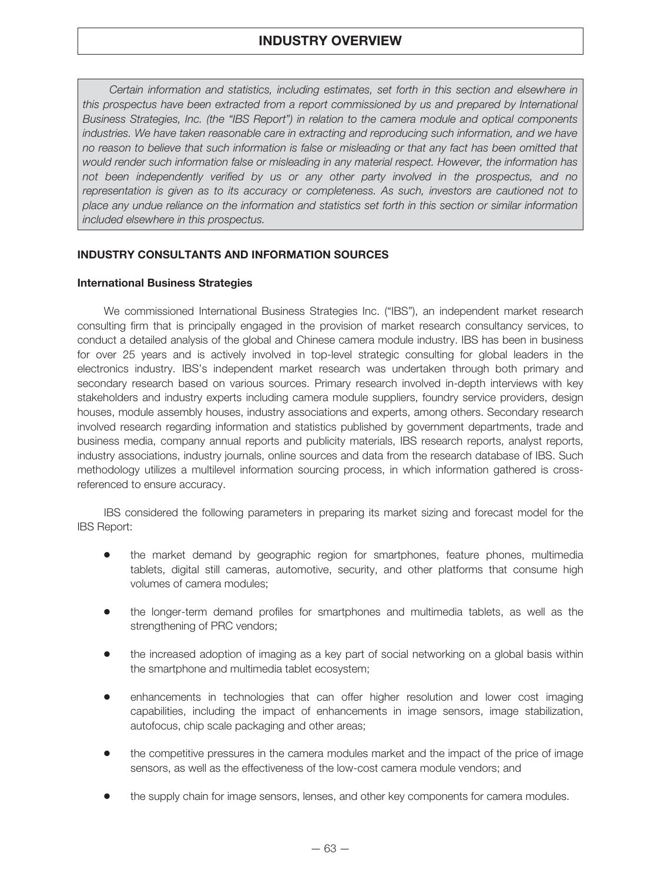*Certain information and statistics, including estimates, set forth in this section and elsewhere in this prospectus have been extracted from a report commissioned by us and prepared by International Business Strategies, Inc. (the "IBS Report") in relation to the camera module and optical components industries. We have taken reasonable care in extracting and reproducing such information, and we have no reason to believe that such information is false or misleading or that any fact has been omitted that would render such information false or misleading in any material respect. However, the information has not been independently verified by us or any other party involved in the prospectus, and no representation is given as to its accuracy or completeness. As such, investors are cautioned not to place any undue reliance on the information and statistics set forth in this section or similar information included elsewhere in this prospectus.*

## **INDUSTRY CONSULTANTS AND INFORMATION SOURCES**

### **International Business Strategies**

We commissioned International Business Strategies Inc. ("IBS"), an independent market research consulting firm that is principally engaged in the provision of market research consultancy services, to conduct a detailed analysis of the global and Chinese camera module industry. IBS has been in business for over 25 years and is actively involved in top-level strategic consulting for global leaders in the electronics industry. IBS's independent market research was undertaken through both primary and secondary research based on various sources. Primary research involved in-depth interviews with key stakeholders and industry experts including camera module suppliers, foundry service providers, design houses, module assembly houses, industry associations and experts, among others. Secondary research involved research regarding information and statistics published by government departments, trade and business media, company annual reports and publicity materials, IBS research reports, analyst reports, industry associations, industry journals, online sources and data from the research database of IBS. Such methodology utilizes a multilevel information sourcing process, in which information gathered is crossreferenced to ensure accuracy.

IBS considered the following parameters in preparing its market sizing and forecast model for the IBS Report:

- Š the market demand by geographic region for smartphones, feature phones, multimedia tablets, digital still cameras, automotive, security, and other platforms that consume high volumes of camera modules;
- Š the longer-term demand profiles for smartphones and multimedia tablets, as well as the strengthening of PRC vendors;
- Š the increased adoption of imaging as a key part of social networking on a global basis within the smartphone and multimedia tablet ecosystem;
- Š enhancements in technologies that can offer higher resolution and lower cost imaging capabilities, including the impact of enhancements in image sensors, image stabilization, autofocus, chip scale packaging and other areas;
- Š the competitive pressures in the camera modules market and the impact of the price of image sensors, as well as the effectiveness of the low-cost camera module vendors; and
- Šthe supply chain for image sensors, lenses, and other key components for camera modules.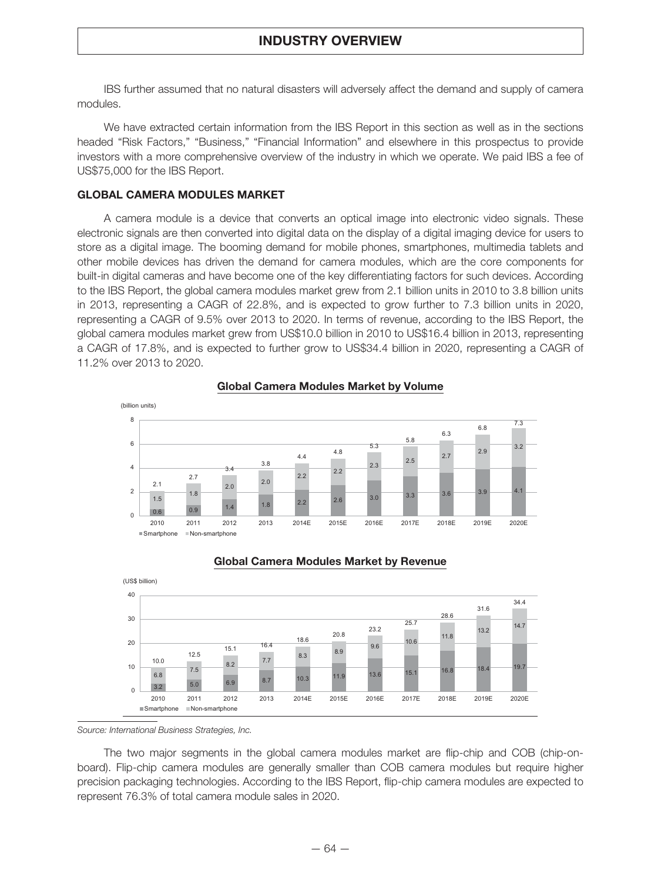IBS further assumed that no natural disasters will adversely affect the demand and supply of camera modules.

We have extracted certain information from the IBS Report in this section as well as in the sections headed "Risk Factors," "Business," "Financial Information" and elsewhere in this prospectus to provide investors with a more comprehensive overview of the industry in which we operate. We paid IBS a fee of US\$75,000 for the IBS Report.

### **GLOBAL CAMERA MODULES MARKET**

A camera module is a device that converts an optical image into electronic video signals. These electronic signals are then converted into digital data on the display of a digital imaging device for users to store as a digital image. The booming demand for mobile phones, smartphones, multimedia tablets and other mobile devices has driven the demand for camera modules, which are the core components for built-in digital cameras and have become one of the key differentiating factors for such devices. According to the IBS Report, the global camera modules market grew from 2.1 billion units in 2010 to 3.8 billion units in 2013, representing a CAGR of 22.8%, and is expected to grow further to 7.3 billion units in 2020, representing a CAGR of 9.5% over 2013 to 2020. In terms of revenue, according to the IBS Report, the global camera modules market grew from US\$10.0 billion in 2010 to US\$16.4 billion in 2013, representing a CAGR of 17.8%, and is expected to further grow to US\$34.4 billion in 2020, representing a CAGR of 11.2% over 2013 to 2020.



### **Global Camera Modules Market by Volume**



### **Global Camera Modules Market by Revenue**

*Source: International Business Strategies, Inc.*

The two major segments in the global camera modules market are flip-chip and COB (chip-onboard). Flip-chip camera modules are generally smaller than COB camera modules but require higher precision packaging technologies. According to the IBS Report, flip-chip camera modules are expected to represent 76.3% of total camera module sales in 2020.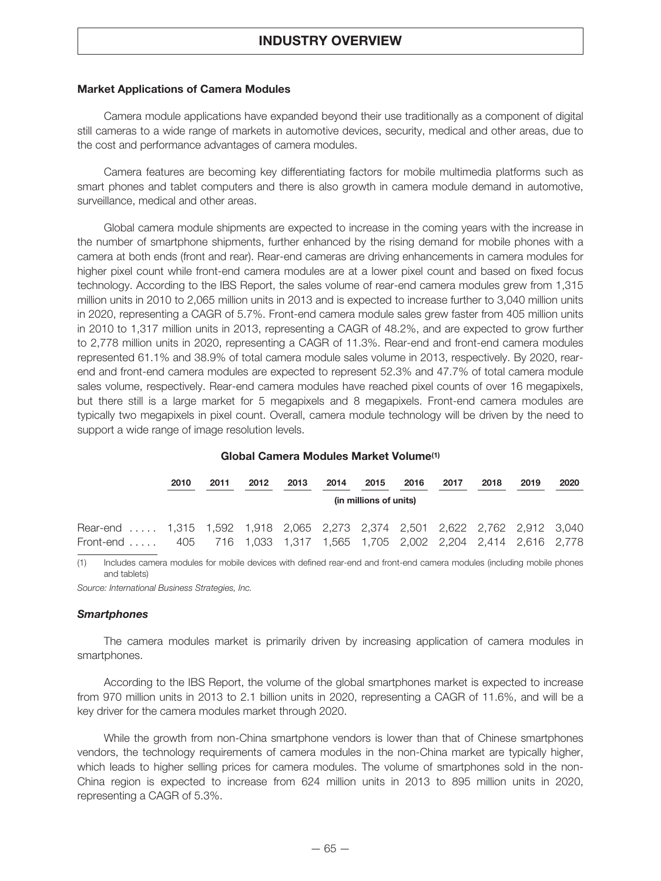### **Market Applications of Camera Modules**

Camera module applications have expanded beyond their use traditionally as a component of digital still cameras to a wide range of markets in automotive devices, security, medical and other areas, due to the cost and performance advantages of camera modules.

Camera features are becoming key differentiating factors for mobile multimedia platforms such as smart phones and tablet computers and there is also growth in camera module demand in automotive, surveillance, medical and other areas.

Global camera module shipments are expected to increase in the coming years with the increase in the number of smartphone shipments, further enhanced by the rising demand for mobile phones with a camera at both ends (front and rear). Rear-end cameras are driving enhancements in camera modules for higher pixel count while front-end camera modules are at a lower pixel count and based on fixed focus technology. According to the IBS Report, the sales volume of rear-end camera modules grew from 1,315 million units in 2010 to 2,065 million units in 2013 and is expected to increase further to 3,040 million units in 2020, representing a CAGR of 5.7%. Front-end camera module sales grew faster from 405 million units in 2010 to 1,317 million units in 2013, representing a CAGR of 48.2%, and are expected to grow further to 2,778 million units in 2020, representing a CAGR of 11.3%. Rear-end and front-end camera modules represented 61.1% and 38.9% of total camera module sales volume in 2013, respectively. By 2020, rearend and front-end camera modules are expected to represent 52.3% and 47.7% of total camera module sales volume, respectively. Rear-end camera modules have reached pixel counts of over 16 megapixels, but there still is a large market for 5 megapixels and 8 megapixels. Front-end camera modules are typically two megapixels in pixel count. Overall, camera module technology will be driven by the need to support a wide range of image resolution levels.

### **Global Camera Modules Market Volume(1)**

|                                                                             | 2010 | 2011 | 2012 | 2013                   | 2014 | 2015 | 2016 | 2017 | 2018 | 2019 | 2020 |  |  |
|-----------------------------------------------------------------------------|------|------|------|------------------------|------|------|------|------|------|------|------|--|--|
|                                                                             |      |      |      | (in millions of units) |      |      |      |      |      |      |      |  |  |
| Rear-end  1,315 1,592 1,918 2,065 2,273 2,374 2,501 2,622 2,762 2,912 3,040 |      |      |      |                        |      |      |      |      |      |      |      |  |  |
| Front-end  405 716 1,033 1,317 1,565 1,705 2,002 2,204 2,414 2,616 2,778    |      |      |      |                        |      |      |      |      |      |      |      |  |  |

(1) Includes camera modules for mobile devices with defined rear-end and front-end camera modules (including mobile phones and tablets)

*Source: International Business Strategies, Inc.*

#### *Smartphones*

The camera modules market is primarily driven by increasing application of camera modules in smartphones.

According to the IBS Report, the volume of the global smartphones market is expected to increase from 970 million units in 2013 to 2.1 billion units in 2020, representing a CAGR of 11.6%, and will be a key driver for the camera modules market through 2020.

While the growth from non-China smartphone vendors is lower than that of Chinese smartphones vendors, the technology requirements of camera modules in the non-China market are typically higher, which leads to higher selling prices for camera modules. The volume of smartphones sold in the non-China region is expected to increase from 624 million units in 2013 to 895 million units in 2020, representing a CAGR of 5.3%.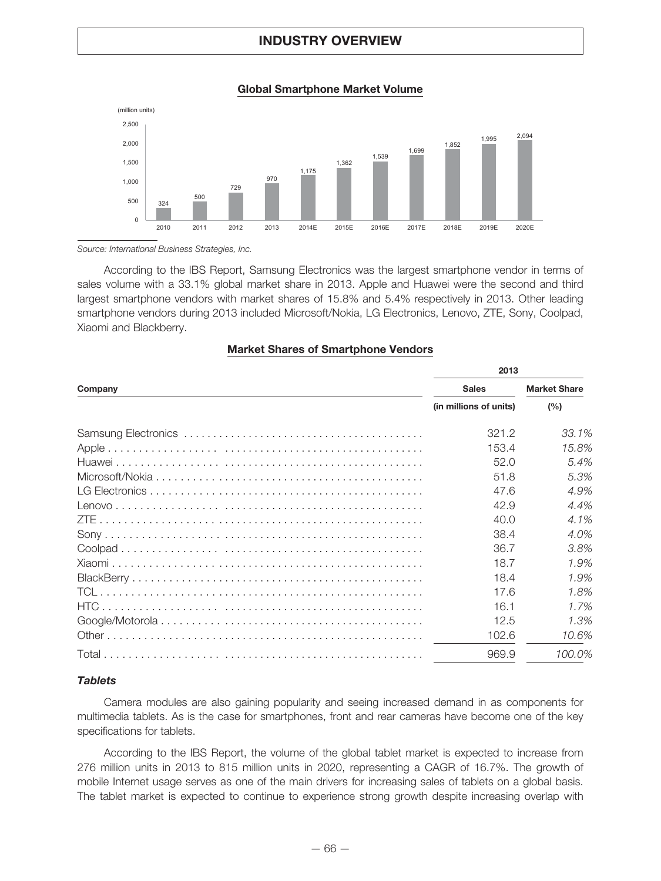**Global Smartphone Market Volume**



*Source: International Business Strategies, Inc.*

According to the IBS Report, Samsung Electronics was the largest smartphone vendor in terms of sales volume with a 33.1% global market share in 2013. Apple and Huawei were the second and third largest smartphone vendors with market shares of 15.8% and 5.4% respectively in 2013. Other leading smartphone vendors during 2013 included Microsoft/Nokia, LG Electronics, Lenovo, ZTE, Sony, Coolpad, Xiaomi and Blackberry.

|         | 2013                   |                     |  |  |  |
|---------|------------------------|---------------------|--|--|--|
| Company | <b>Sales</b>           | <b>Market Share</b> |  |  |  |
|         | (in millions of units) | (%)                 |  |  |  |
|         | 321.2                  | 33.1%               |  |  |  |
|         | 153.4                  | 15.8%               |  |  |  |
|         | 52.0                   | 5.4%                |  |  |  |
|         | 51.8                   | 5.3%                |  |  |  |
|         | 47.6                   | 4.9%                |  |  |  |
|         | 42.9                   | 4.4%                |  |  |  |
|         | 40.0                   | 4.1%                |  |  |  |
|         | 38.4                   | 4.0%                |  |  |  |
|         | 36.7                   | 3.8%                |  |  |  |
|         | 18.7                   | 1.9%                |  |  |  |
|         | 18.4                   | 1.9%                |  |  |  |
|         | 17.6                   | 1.8%                |  |  |  |
|         | 16.1                   | 1.7%                |  |  |  |
|         | 12.5                   | 1.3%                |  |  |  |
|         | 102.6                  | 10.6%               |  |  |  |
|         | 969.9                  | 100.0%              |  |  |  |

### **Market Shares of Smartphone Vendors**

### *Tablets*

Camera modules are also gaining popularity and seeing increased demand in as components for multimedia tablets. As is the case for smartphones, front and rear cameras have become one of the key specifications for tablets.

According to the IBS Report, the volume of the global tablet market is expected to increase from 276 million units in 2013 to 815 million units in 2020, representing a CAGR of 16.7%. The growth of mobile Internet usage serves as one of the main drivers for increasing sales of tablets on a global basis. The tablet market is expected to continue to experience strong growth despite increasing overlap with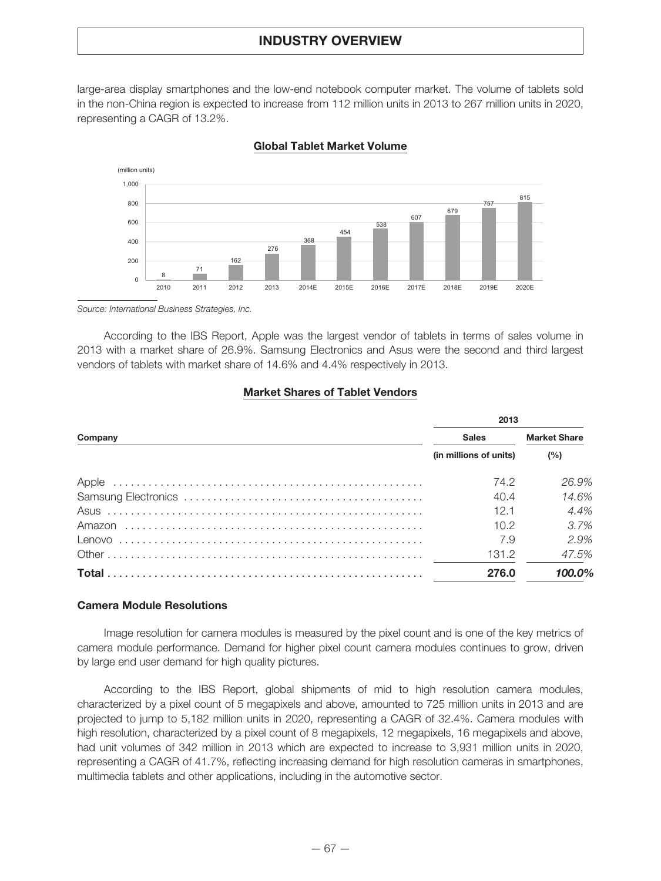large-area display smartphones and the low-end notebook computer market. The volume of tablets sold in the non-China region is expected to increase from 112 million units in 2013 to 267 million units in 2020, representing a CAGR of 13.2%.



**Global Tablet Market Volume**

*Source: International Business Strategies, Inc.*

According to the IBS Report, Apple was the largest vendor of tablets in terms of sales volume in 2013 with a market share of 26.9%. Samsung Electronics and Asus were the second and third largest vendors of tablets with market share of 14.6% and 4.4% respectively in 2013.

### **Market Shares of Tablet Vendors**

|         | 2013                   |                     |  |  |  |
|---------|------------------------|---------------------|--|--|--|
| Company | <b>Sales</b>           | <b>Market Share</b> |  |  |  |
|         | (in millions of units) | (%)                 |  |  |  |
|         | 74.2                   | 26.9%               |  |  |  |
|         | 40.4                   | 14.6%               |  |  |  |
|         | 12.1                   | 4.4%                |  |  |  |
|         | 10.2 <sup>2</sup>      | 3.7%                |  |  |  |
|         | 7.9                    | 2.9%                |  |  |  |
|         | 131.2                  | 47.5%               |  |  |  |
|         | 276.0                  | 100.0%              |  |  |  |

### **Camera Module Resolutions**

Image resolution for camera modules is measured by the pixel count and is one of the key metrics of camera module performance. Demand for higher pixel count camera modules continues to grow, driven by large end user demand for high quality pictures.

According to the IBS Report, global shipments of mid to high resolution camera modules, characterized by a pixel count of 5 megapixels and above, amounted to 725 million units in 2013 and are projected to jump to 5,182 million units in 2020, representing a CAGR of 32.4%. Camera modules with high resolution, characterized by a pixel count of 8 megapixels, 12 megapixels, 16 megapixels and above, had unit volumes of 342 million in 2013 which are expected to increase to 3,931 million units in 2020, representing a CAGR of 41.7%, reflecting increasing demand for high resolution cameras in smartphones, multimedia tablets and other applications, including in the automotive sector.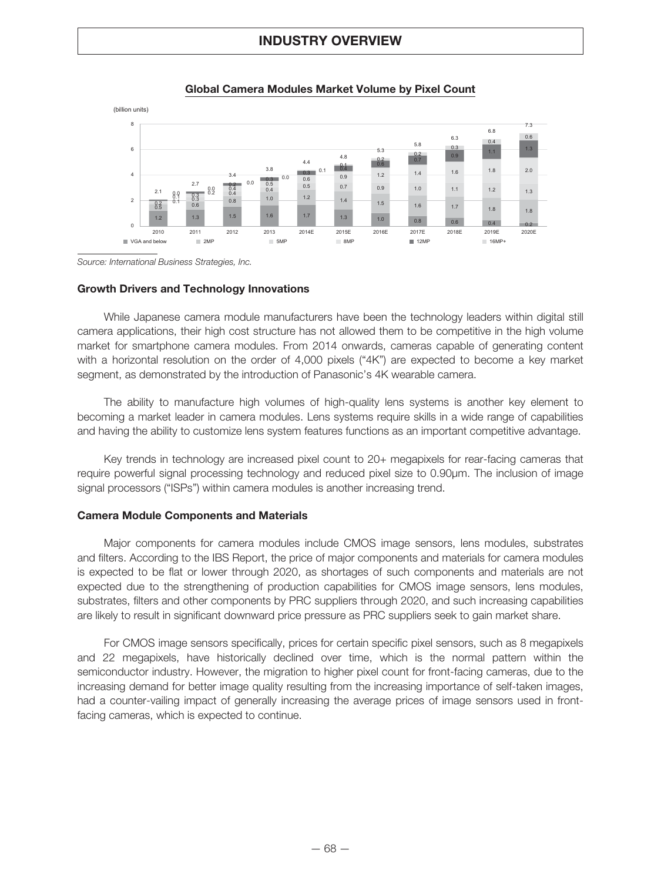

### **Global Camera Modules Market Volume by Pixel Count**

*Source: International Business Strategies, Inc.*

#### **Growth Drivers and Technology Innovations**

While Japanese camera module manufacturers have been the technology leaders within digital still camera applications, their high cost structure has not allowed them to be competitive in the high volume market for smartphone camera modules. From 2014 onwards, cameras capable of generating content with a horizontal resolution on the order of 4,000 pixels ("4K") are expected to become a key market segment, as demonstrated by the introduction of Panasonic's 4K wearable camera.

The ability to manufacture high volumes of high-quality lens systems is another key element to becoming a market leader in camera modules. Lens systems require skills in a wide range of capabilities and having the ability to customize lens system features functions as an important competitive advantage.

Key trends in technology are increased pixel count to 20+ megapixels for rear-facing cameras that require powerful signal processing technology and reduced pixel size to 0.90μm. The inclusion of image signal processors ("ISPs") within camera modules is another increasing trend.

#### **Camera Module Components and Materials**

Major components for camera modules include CMOS image sensors, lens modules, substrates and filters. According to the IBS Report, the price of major components and materials for camera modules is expected to be flat or lower through 2020, as shortages of such components and materials are not expected due to the strengthening of production capabilities for CMOS image sensors, lens modules, substrates, filters and other components by PRC suppliers through 2020, and such increasing capabilities are likely to result in significant downward price pressure as PRC suppliers seek to gain market share.

For CMOS image sensors specifically, prices for certain specific pixel sensors, such as 8 megapixels and 22 megapixels, have historically declined over time, which is the normal pattern within the semiconductor industry. However, the migration to higher pixel count for front-facing cameras, due to the increasing demand for better image quality resulting from the increasing importance of self-taken images, had a counter-vailing impact of generally increasing the average prices of image sensors used in frontfacing cameras, which is expected to continue.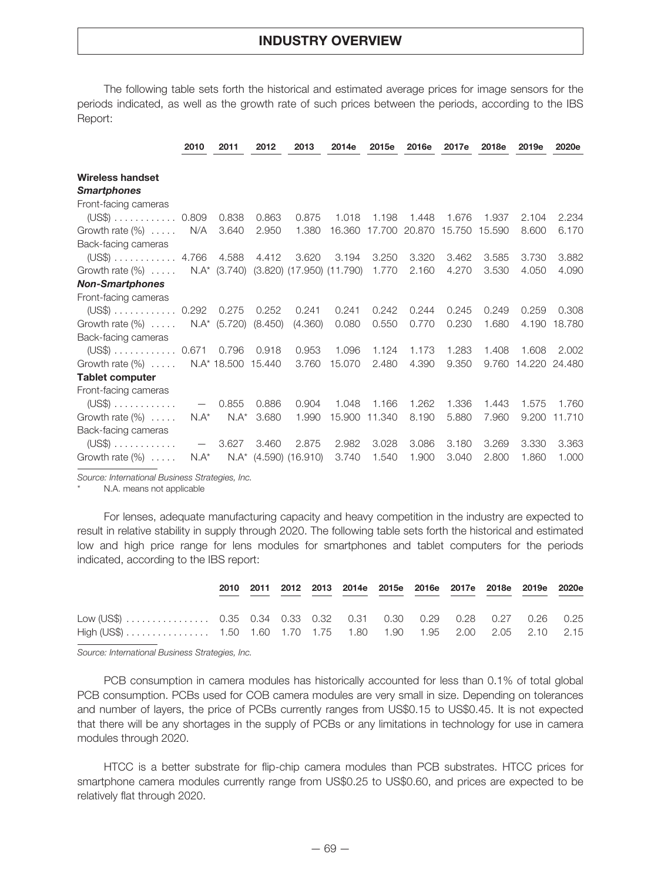The following table sets forth the historical and estimated average prices for image sensors for the periods indicated, as well as the growth rate of such prices between the periods, according to the IBS Report:

|                                 | 2010                     | 2011               | 2012    | 2013                                   | 2014e  | 2015e  | 2016e  | 2017e  | 2018e  | 2019e         | 2020e  |
|---------------------------------|--------------------------|--------------------|---------|----------------------------------------|--------|--------|--------|--------|--------|---------------|--------|
|                                 |                          |                    |         |                                        |        |        |        |        |        |               |        |
| <b>Wireless handset</b>         |                          |                    |         |                                        |        |        |        |        |        |               |        |
| <b>Smartphones</b>              |                          |                    |         |                                        |        |        |        |        |        |               |        |
| Front-facing cameras            |                          |                    |         |                                        |        |        |        |        |        |               |        |
| $(US$)$ 0.809                   |                          | 0.838              | 0.863   | 0.875                                  | 1.018  | 1.198  | 1.448  | 1.676  | 1.937  | 2.104         | 2.234  |
| Growth rate $(\%)$              | N/A                      | 3.640              | 2.950   | 1.380                                  | 16.360 | 17.700 | 20.870 | 15.750 | 15.590 | 8.600         | 6.170  |
| Back-facing cameras             |                          |                    |         |                                        |        |        |        |        |        |               |        |
| $(US\$ 4.766                    |                          | 4.588              | 4.412   | 3.620                                  | 3.194  | 3.250  | 3.320  | 3.462  | 3.585  | 3.730         | 3.882  |
| Growth rate $(\%)$              |                          |                    |         | N.A* (3.740) (3.820) (17.950) (11.790) |        | 1.770  | 2.160  | 4.270  | 3.530  | 4.050         | 4.090  |
| <b>Non-Smartphones</b>          |                          |                    |         |                                        |        |        |        |        |        |               |        |
| Front-facing cameras            |                          |                    |         |                                        |        |        |        |        |        |               |        |
| $(US$)$ 0.292                   |                          | 0.275              | 0.252   | 0.241                                  | 0.241  | 0.242  | 0.244  | 0.245  | 0.249  | 0.259         | 0.308  |
| Growth rate $(\%)$              |                          | $N.A^*$ (5.720)    | (8.450) | (4.360)                                | 0.080  | 0.550  | 0.770  | 0.230  | 1.680  | 4.190         | 18.780 |
| Back-facing cameras             |                          |                    |         |                                        |        |        |        |        |        |               |        |
| $(US$)$ 0.671                   |                          | 0.796              | 0.918   | 0.953                                  | 1.096  | 1.124  | 1.173  | 1.283  | 1.408  | 1.608         | 2.002  |
| Growth rate $(\%)$              |                          | N.A* 18.500 15.440 |         | 3.760                                  | 15,070 | 2.480  | 4.390  | 9.350  | 9.760  | 14.220 24.480 |        |
| <b>Tablet computer</b>          |                          |                    |         |                                        |        |        |        |        |        |               |        |
| Front-facing cameras            |                          |                    |         |                                        |        |        |        |        |        |               |        |
| $(US\$ ) $\ldots \ldots \ldots$ | $\overline{\phantom{m}}$ | 0.855              | 0.886   | 0.904                                  | 1.048  | 1.166  | 1.262  | 1.336  | 1.443  | 1.575         | 1.760  |
| Growth rate $(\%)$              | $N.A^*$                  | $N.A^*$            | 3.680   | 1.990                                  | 15,900 | 11.340 | 8.190  | 5.880  | 7.960  | 9.200         | 11.710 |
| Back-facing cameras             |                          |                    |         |                                        |        |        |        |        |        |               |        |
| $(US$)$                         | $\overline{\phantom{0}}$ | 3.627              | 3.460   | 2.875                                  | 2.982  | 3.028  | 3.086  | 3.180  | 3.269  | 3.330         | 3.363  |
| Growth rate $(\%)$              | $N.A^*$                  |                    |         | $N.A^*$ (4.590) (16.910)               | 3.740  | 1.540  | 1.900  | 3.040  | 2.800  | 1.860         | 1.000  |

*Source: International Business Strategies, Inc.*

N.A. means not applicable

For lenses, adequate manufacturing capacity and heavy competition in the industry are expected to result in relative stability in supply through 2020. The following table sets forth the historical and estimated low and high price range for lens modules for smartphones and tablet computers for the periods indicated, according to the IBS report:

|                                                                    |  |  |  |  | 2010 2011 2012 2013 2014e 2015e 2016e 2017e 2018e 2019e 2020e |  |
|--------------------------------------------------------------------|--|--|--|--|---------------------------------------------------------------|--|
| Low (US\$)  0.35 0.34 0.33 0.32 0.31 0.30 0.29 0.28 0.27 0.26 0.25 |  |  |  |  |                                                               |  |
|                                                                    |  |  |  |  |                                                               |  |

*Source: International Business Strategies, Inc.*

PCB consumption in camera modules has historically accounted for less than 0.1% of total global PCB consumption. PCBs used for COB camera modules are very small in size. Depending on tolerances and number of layers, the price of PCBs currently ranges from US\$0.15 to US\$0.45. It is not expected that there will be any shortages in the supply of PCBs or any limitations in technology for use in camera modules through 2020.

HTCC is a better substrate for flip-chip camera modules than PCB substrates. HTCC prices for smartphone camera modules currently range from US\$0.25 to US\$0.60, and prices are expected to be relatively flat through 2020.